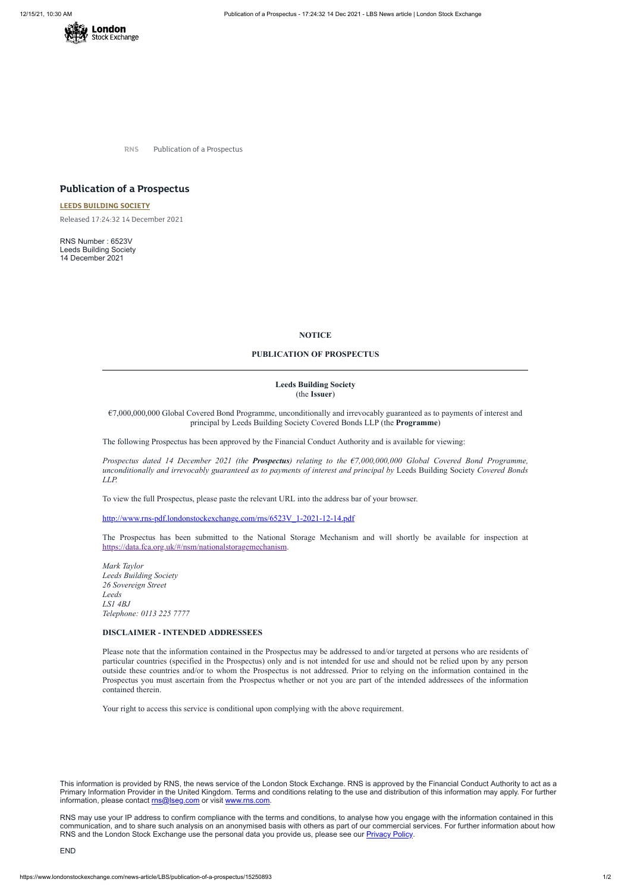

**RNS** Publication of a Prospectus

# **Publication of a Prospectus**

**LEEDS [BUILDING](https://www.londonstockexchange.com/stock/LBS/leeds-building-society) SOCIETY**

Released 17:24:32 14 December 2021

RNS Number : 6523V Leeds Building Society 14 December 2021

### **NOTICE**

### **PUBLICATION OF PROSPECTUS**

## **Leeds Building Society** (the **Issuer**)

€7,000,000,000 Global Covered Bond Programme, unconditionally and irrevocably guaranteed as to payments of interest and principal by Leeds Building Society Covered Bonds LLP (the **Programme**)

The following Prospectus has been approved by the Financial Conduct Authority and is available for viewing:

*Prospectus dated 14 December 2021 (the Prospectus) relating to the €7,000,000,000 Global Covered Bond Programme, unconditionally and irrevocably guaranteed as to payments of interest and principal by* Leeds Building Society *Covered Bonds LLP.*

This information is provided by RNS, the news service of the London Stock Exchange. RNS is approved by the Financial Conduct Authority to act as a Primary Information Provider in the United Kingdom. Terms and conditions relating to the use and distribution of this information may apply. For further information, please contact [rns@lseg.com](mailto:rns@lseg.com) or visit [www.rns.com.](http://www.rns.com/)

To view the full Prospectus, please paste the relevant URL into the address bar of your browser.

[http://www.rns-pdf.londonstockexchange.com/rns/6523V\\_1-2021-12-14.pdf](http://www.rns-pdf.londonstockexchange.com/rns/6523V_1-2021-12-14.pdf)

RNS may use your IP address to confirm compliance with the terms and conditions, to analyse how you engage with the information contained in this communication, and to share such analysis on an anonymised basis with others as part of our commercial services. For further information about how RNS and the London Stock Exchange use the personal data you provide us, please see our **[Privacy](https://www.lseg.com/privacy-and-cookie-policy) Policy**.

The Prospectus has been submitted to the National Storage Mechanism and will shortly be available for inspection at <https://data.fca.org.uk/#/nsm/nationalstoragemechanism>.

*Mark Taylor Leeds Building Society 26 Sovereign Street Leeds LS1 4BJ Telephone: 0113 225 7777*

#### **DISCLAIMER - INTENDED ADDRESSEES**

Please note that the information contained in the Prospectus may be addressed to and/or targeted at persons who are residents of particular countries (specified in the Prospectus) only and is not intended for use and should not be relied upon by any person outside these countries and/or to whom the Prospectus is not addressed. Prior to relying on the information contained in the Prospectus you must ascertain from the Prospectus whether or not you are part of the intended addressees of the information contained therein.

Your right to access this service is conditional upon complying with the above requirement.

END